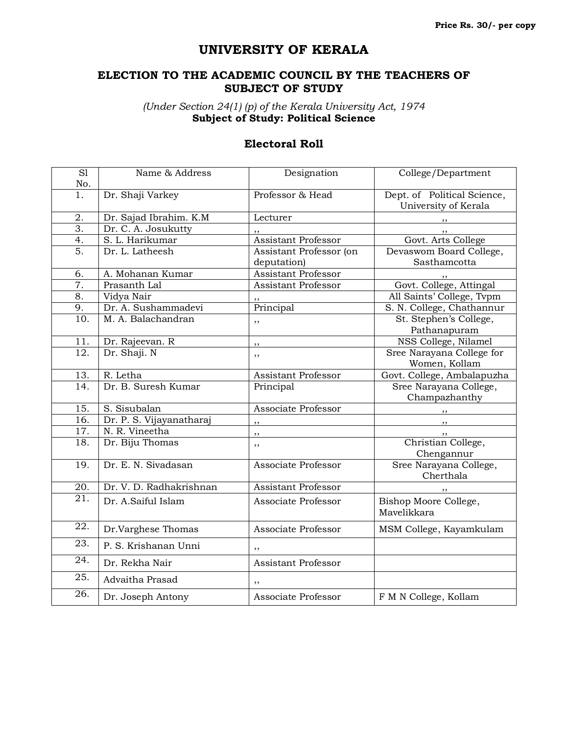## **UNIVERSITY OF KERALA**

## **ELECTION TO THE ACADEMIC COUNCIL BY THE TEACHERS OF SUBJECT OF STUDY**

*(Under Section 24(1) (p) of the Kerala University Act, 1974* **Subject of Study: Political Science**

## **Electoral Roll**

| $\overline{SI}$   | Name & Address           | Designation                | College/Department          |
|-------------------|--------------------------|----------------------------|-----------------------------|
| No.               |                          |                            |                             |
| 1.                | Dr. Shaji Varkey         | Professor & Head           | Dept. of Political Science, |
|                   |                          |                            | University of Kerala        |
| 2.                | Dr. Sajad Ibrahim. K.M   | Lecturer                   | ,,                          |
| $\overline{3}$ .  | Dr. C. A. Josukutty      | ,,                         | ,,                          |
| 4.                | S. L. Harikumar          | <b>Assistant Professor</b> | Govt. Arts College          |
| 5.                | Dr. L. Latheesh          | Assistant Professor (on    | Devaswom Board College,     |
|                   |                          | deputation)                | Sasthamcotta                |
| 6.                | A. Mohanan Kumar         | <b>Assistant Professor</b> |                             |
| 7.                | Prasanth Lal             | <b>Assistant Professor</b> | Govt. College, Attingal     |
| 8.                | Vidya Nair               |                            | All Saints' College, Tvpm   |
| 9.                | Dr. A. Sushammadevi      | Principal                  | S. N. College, Chathannur   |
| 10.               | M. A. Balachandran       | ,,                         | St. Stephen's College,      |
|                   |                          |                            | Pathanapuram                |
| 11.               | Dr. Rajeevan. R          | ,,                         | NSS College, Nilamel        |
| 12.               | Dr. Shaji. N             | ,,                         | Sree Narayana College for   |
|                   |                          |                            | Women, Kollam               |
| 13.               | R. Letha                 | Assistant Professor        | Govt. College, Ambalapuzha  |
| 14.               | Dr. B. Suresh Kumar      | Principal                  | Sree Narayana College,      |
|                   |                          |                            | Champazhanthy               |
| 15.               | S. Sisubalan             | Associate Professor        | ,,                          |
| 16.               | Dr. P. S. Vijayanatharaj | ,,                         | ,,                          |
| 17.               | N. R. Vineetha           | ,,                         |                             |
| 18.               | Dr. Biju Thomas          | ,,                         | Christian College,          |
|                   |                          |                            | Chengannur                  |
| $\overline{19}$ . | Dr. E. N. Sivadasan      | Associate Professor        | Sree Narayana College,      |
|                   |                          |                            | Cherthala                   |
| 20.               | Dr. V. D. Radhakrishnan  | <b>Assistant Professor</b> |                             |
| 21.               | Dr. A.Saiful Islam       | Associate Professor        | Bishop Moore College,       |
|                   |                          |                            | Mavelikkara                 |
| 22.               |                          |                            |                             |
|                   | Dr.Varghese Thomas       | Associate Professor        | MSM College, Kayamkulam     |
| 23.               | P. S. Krishanan Unni     | ,,                         |                             |
| 24.               | Dr. Rekha Nair           | <b>Assistant Professor</b> |                             |
| 25.               | Advaitha Prasad          | ,,                         |                             |
| $\overline{26}$ . | Dr. Joseph Antony        | Associate Professor        | F M N College, Kollam       |